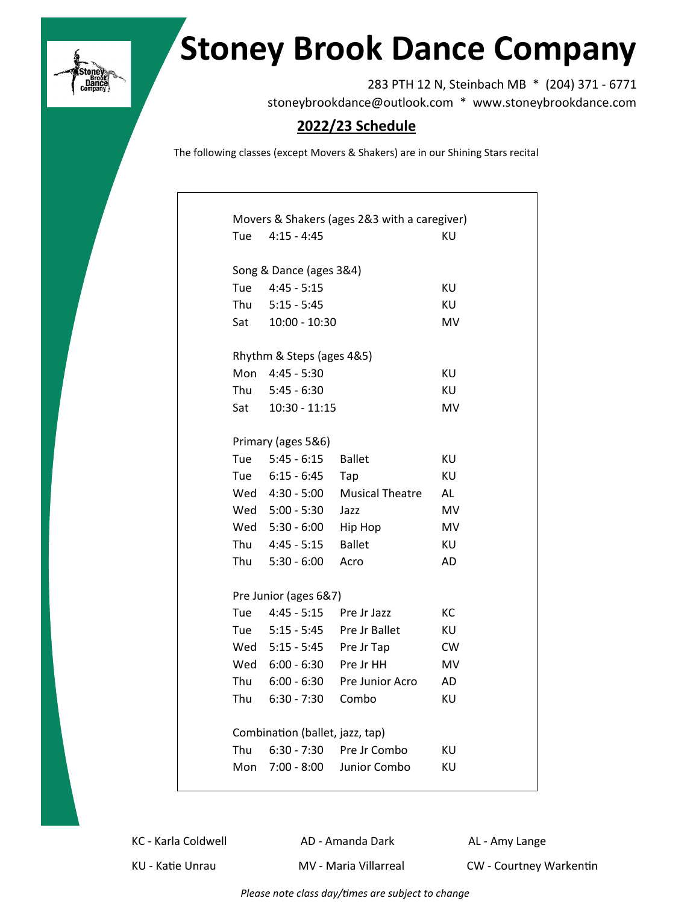

## **Stoney Brook Dance Company**

283 PTH 12 N, Steinbach MB \* (204) 371 - 6771 stoneybrookdance@outlook.com \* www.stoneybrookdance.com

## **2022/23 Schedule**

The following classes (except Movers & Shakers) are in our Shining Stars recital

|                                 | Movers & Shakers (ages 2&3 with a caregiver) |                                 |           |  |  |  |  |  |  |  |
|---------------------------------|----------------------------------------------|---------------------------------|-----------|--|--|--|--|--|--|--|
| Tue                             | $4:15 - 4:45$                                |                                 | KU        |  |  |  |  |  |  |  |
|                                 |                                              |                                 |           |  |  |  |  |  |  |  |
|                                 | Song & Dance (ages 3&4)                      |                                 |           |  |  |  |  |  |  |  |
| Tue                             | $4:45 - 5:15$                                |                                 | KU        |  |  |  |  |  |  |  |
|                                 | Thu 5:15 - 5:45                              |                                 | KU        |  |  |  |  |  |  |  |
|                                 | Sat 10:00 - 10:30                            |                                 | MV        |  |  |  |  |  |  |  |
|                                 |                                              |                                 |           |  |  |  |  |  |  |  |
|                                 | Rhythm & Steps (ages 4&5)                    |                                 |           |  |  |  |  |  |  |  |
|                                 | Mon 4:45 - 5:30                              |                                 | KU        |  |  |  |  |  |  |  |
|                                 | Thu 5:45 - 6:30                              |                                 | KU        |  |  |  |  |  |  |  |
|                                 | Sat 10:30 - 11:15                            |                                 | MV        |  |  |  |  |  |  |  |
|                                 | Primary (ages 5&6)                           |                                 |           |  |  |  |  |  |  |  |
|                                 | Tue 5:45 - 6:15                              | <b>Ballet</b>                   | ΚU        |  |  |  |  |  |  |  |
|                                 | Tue 6:15 - 6:45                              | Tap                             | KU        |  |  |  |  |  |  |  |
|                                 | Wed 4:30 - 5:00                              | <b>Musical Theatre</b>          | AL        |  |  |  |  |  |  |  |
|                                 | Wed 5:00 - 5:30                              | Jazz                            | MV        |  |  |  |  |  |  |  |
|                                 | Wed 5:30 - 6:00                              | Hip Hop                         | MV        |  |  |  |  |  |  |  |
|                                 | Thu 4:45 - 5:15                              | <b>Ballet</b>                   | ΚU        |  |  |  |  |  |  |  |
|                                 | Thu 5:30 - 6:00                              | Acro                            | AD        |  |  |  |  |  |  |  |
|                                 |                                              |                                 |           |  |  |  |  |  |  |  |
|                                 | Pre Junior (ages 6&7)                        |                                 |           |  |  |  |  |  |  |  |
|                                 | Tue 4:45 - 5:15                              | Pre Jr Jazz                     | KC        |  |  |  |  |  |  |  |
|                                 | Tue 5:15 - 5:45                              | Pre Jr Ballet                   | KU        |  |  |  |  |  |  |  |
|                                 | Wed 5:15 - 5:45                              | Pre Jr Tap                      | <b>CW</b> |  |  |  |  |  |  |  |
|                                 | Wed 6:00 - 6:30                              | Pre Jr HH                       | MV        |  |  |  |  |  |  |  |
|                                 |                                              | Thu 6:00 - 6:30 Pre Junior Acro | AD        |  |  |  |  |  |  |  |
|                                 | Thu 6:30 - 7:30                              | Combo                           | KU        |  |  |  |  |  |  |  |
|                                 |                                              |                                 |           |  |  |  |  |  |  |  |
| Combination (ballet, jazz, tap) |                                              |                                 |           |  |  |  |  |  |  |  |
| Thu                             |                                              | 6:30 - 7:30 Pre Jr Combo        | ΚU        |  |  |  |  |  |  |  |
|                                 |                                              | Mon 7:00 - 8:00 Junior Combo    | ΚU        |  |  |  |  |  |  |  |
|                                 |                                              |                                 |           |  |  |  |  |  |  |  |

KC - Karla Coldwell **AD - Amanda Dark** AL - Amy Lange

KU - Katie Unrau MV - Maria Villarreal CW - Courtney Warkentin

*Please note class day/times are subject to change*